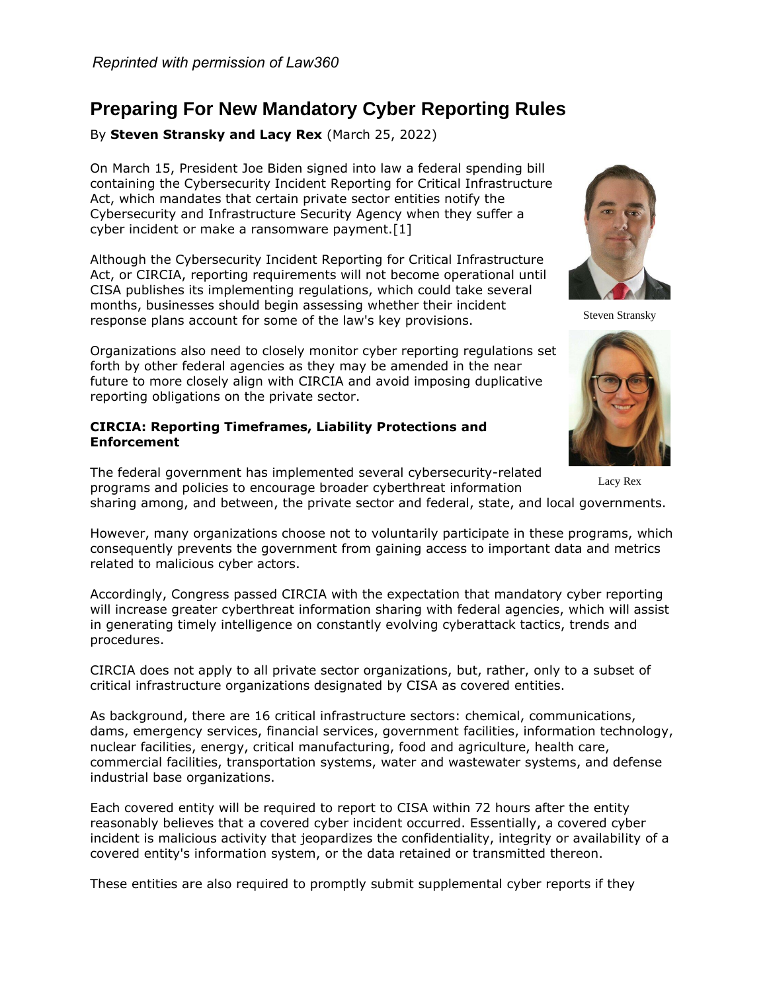# **Preparing For New Mandatory Cyber Reporting Rules**

By **Steven Stransky and Lacy Rex** (March 25, 2022)

On March 15, President Joe Biden signed into law a federal spending bill containing the Cybersecurity Incident Reporting for Critical Infrastructure Act, which mandates that certain private sector entities notify the Cybersecurity and Infrastructure Security Agency when they suffer a cyber incident or make a ransomware payment.[1]

Although the Cybersecurity Incident Reporting for Critical Infrastructure Act, or CIRCIA, reporting requirements will not become operational until CISA publishes its implementing regulations, which could take several months, businesses should begin assessing whether their incident response plans account for some of the law's key provisions.

Organizations also need to closely monitor cyber reporting regulations set forth by other federal agencies as they may be amended in the near future to more closely align with CIRCIA and avoid imposing duplicative reporting obligations on the private sector.

# **CIRCIA: Reporting Timeframes, Liability Protections and Enforcement**

The federal government has implemented several cybersecurity-related programs and policies to encourage broader cyberthreat information sharing among, and between, the private sector and federal, state, and local governments. Lacy Rex

However, many organizations choose not to voluntarily participate in these programs, which consequently prevents the government from gaining access to important data and metrics related to malicious cyber actors.

Accordingly, Congress passed CIRCIA with the expectation that mandatory cyber reporting will increase greater cyberthreat information sharing with federal agencies, which will assist in generating timely intelligence on constantly evolving cyberattack tactics, trends and procedures.

CIRCIA does not apply to all private sector organizations, but, rather, only to a subset of critical infrastructure organizations designated by CISA as covered entities.

As background, there are 16 critical infrastructure sectors: chemical, communications, dams, emergency services, financial services, government facilities, information technology, nuclear facilities, energy, critical manufacturing, food and agriculture, health care, commercial facilities, transportation systems, water and wastewater systems, and defense industrial base organizations.

Each covered entity will be required to report to CISA within 72 hours after the entity reasonably believes that a covered cyber incident occurred. Essentially, a covered cyber incident is malicious activity that jeopardizes the confidentiality, integrity or availability of a covered entity's information system, or the data retained or transmitted thereon.

These entities are also required to promptly submit supplemental cyber reports if they



Steven Stransky

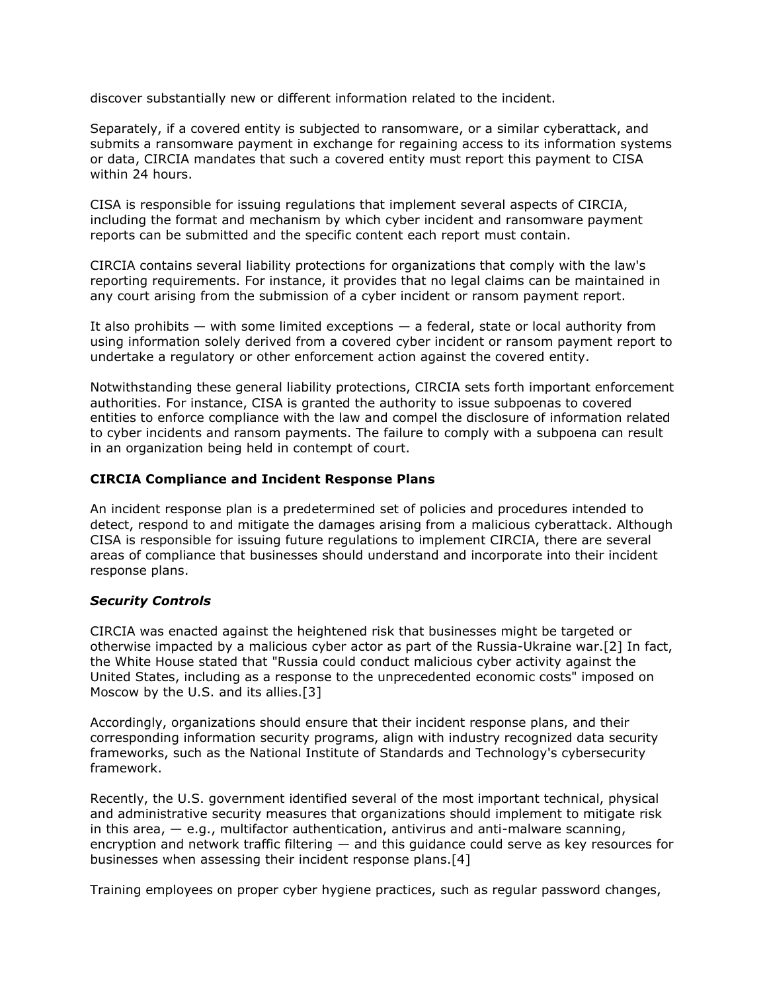discover substantially new or different information related to the incident.

Separately, if a covered entity is subjected to ransomware, or a similar cyberattack, and submits a ransomware payment in exchange for regaining access to its information systems or data, CIRCIA mandates that such a covered entity must report this payment to CISA within 24 hours.

CISA is responsible for issuing regulations that implement several aspects of CIRCIA, including the format and mechanism by which cyber incident and ransomware payment reports can be submitted and the specific content each report must contain.

CIRCIA contains several liability protections for organizations that comply with the law's reporting requirements. For instance, it provides that no legal claims can be maintained in any court arising from the submission of a cyber incident or ransom payment report.

It also prohibits — with some limited exceptions — a federal, state or local authority from using information solely derived from a covered cyber incident or ransom payment report to undertake a regulatory or other enforcement action against the covered entity.

Notwithstanding these general liability protections, CIRCIA sets forth important enforcement authorities. For instance, CISA is granted the authority to issue subpoenas to covered entities to enforce compliance with the law and compel the disclosure of information related to cyber incidents and ransom payments. The failure to comply with a subpoena can result in an organization being held in contempt of court.

# **CIRCIA Compliance and Incident Response Plans**

An incident response plan is a predetermined set of policies and procedures intended to detect, respond to and mitigate the damages arising from a malicious cyberattack. Although CISA is responsible for issuing future regulations to implement CIRCIA, there are several areas of compliance that businesses should understand and incorporate into their incident response plans.

# *Security Controls*

CIRCIA was enacted against the heightened risk that businesses might be targeted or otherwise impacted by a malicious cyber actor as part of the Russia-Ukraine war.[2] In fact, the White House stated that "Russia could conduct malicious cyber activity against the United States, including as a response to the unprecedented economic costs" imposed on Moscow by the U.S. and its allies.[3]

Accordingly, organizations should ensure that their incident response plans, and their corresponding information security programs, align with industry recognized data security frameworks, such as the [National Institute of Standards and Technology'](https://www.law360.com/agencies/national-institute-of-standards-and-technology)s cybersecurity framework.

Recently, the U.S. government identified several of the most important technical, physical and administrative security measures that organizations should implement to mitigate risk in this area,  $-$  e.g., multifactor authentication, antivirus and anti-malware scanning, encryption and network traffic filtering — and this guidance could serve as key resources for businesses when assessing their incident response plans.[4]

Training employees on proper cyber hygiene practices, such as regular password changes,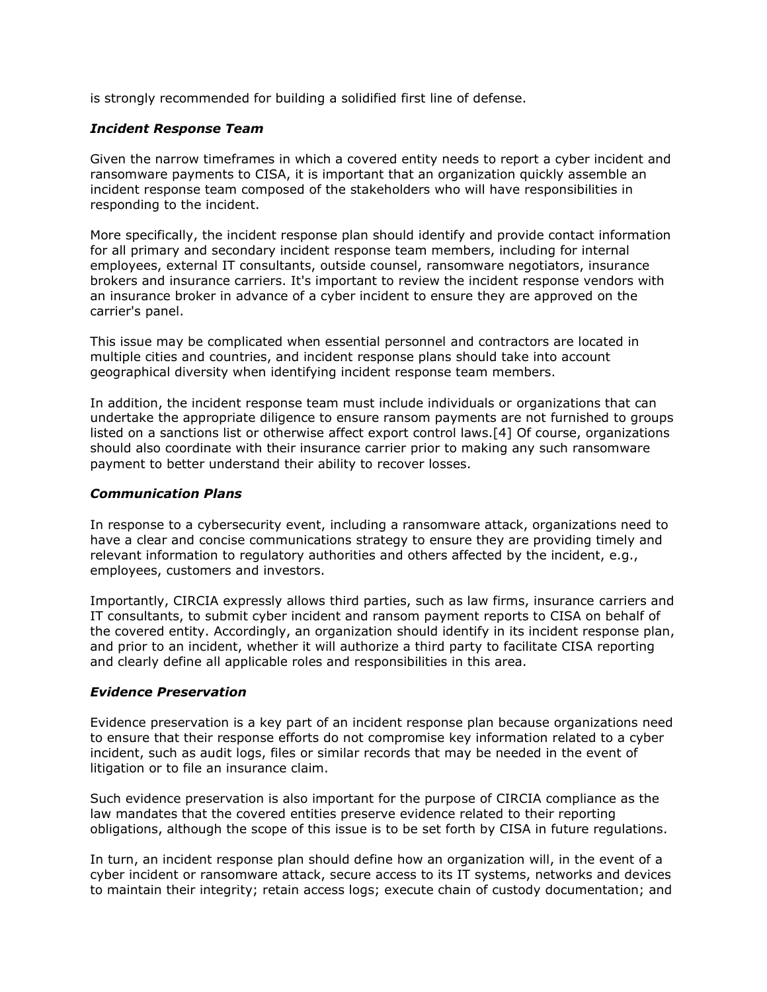is strongly recommended for building a solidified first line of defense.

### *Incident Response Team*

Given the narrow timeframes in which a covered entity needs to report a cyber incident and ransomware payments to CISA, it is important that an organization quickly assemble an incident response team composed of the stakeholders who will have responsibilities in responding to the incident.

More specifically, the incident response plan should identify and provide contact information for all primary and secondary incident response team members, including for internal employees, external IT consultants, outside counsel, ransomware negotiators, insurance brokers and insurance carriers. It's important to review the incident response vendors with an insurance broker in advance of a cyber incident to ensure they are approved on the carrier's panel.

This issue may be complicated when essential personnel and contractors are located in multiple cities and countries, and incident response plans should take into account geographical diversity when identifying incident response team members.

In addition, the incident response team must include individuals or organizations that can undertake the appropriate diligence to ensure ransom payments are not furnished to groups listed on a sanctions list or otherwise affect export control laws.[4] Of course, organizations should also coordinate with their insurance carrier prior to making any such ransomware payment to better understand their ability to recover losses.

#### *Communication Plans*

In response to a cybersecurity event, including a ransomware attack, organizations need to have a clear and concise communications strategy to ensure they are providing timely and relevant information to regulatory authorities and others affected by the incident, e.g., employees, customers and investors.

Importantly, CIRCIA expressly allows third parties, such as law firms, insurance carriers and IT consultants, to submit cyber incident and ransom payment reports to CISA on behalf of the covered entity. Accordingly, an organization should identify in its incident response plan, and prior to an incident, whether it will authorize a third party to facilitate CISA reporting and clearly define all applicable roles and responsibilities in this area.

# *Evidence Preservation*

Evidence preservation is a key part of an incident response plan because organizations need to ensure that their response efforts do not compromise key information related to a cyber incident, such as audit logs, files or similar records that may be needed in the event of litigation or to file an insurance claim.

Such evidence preservation is also important for the purpose of CIRCIA compliance as the law mandates that the covered entities preserve evidence related to their reporting obligations, although the scope of this issue is to be set forth by CISA in future regulations.

In turn, an incident response plan should define how an organization will, in the event of a cyber incident or ransomware attack, secure access to its IT systems, networks and devices to maintain their integrity; retain access logs; execute chain of custody documentation; and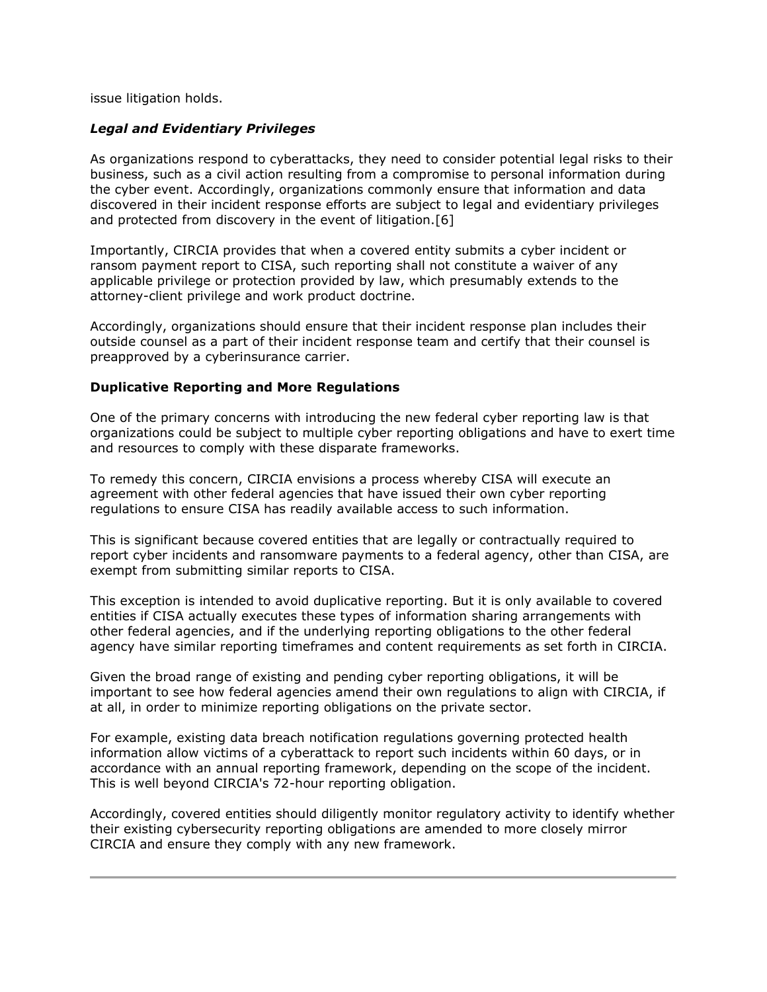issue litigation holds.

# *Legal and Evidentiary Privileges*

As organizations respond to cyberattacks, they need to consider potential legal risks to their business, such as a civil action resulting from a compromise to personal information during the cyber event. Accordingly, organizations commonly ensure that information and data discovered in their incident response efforts are subject to legal and evidentiary privileges and protected from discovery in the event of litigation.[6]

Importantly, CIRCIA provides that when a covered entity submits a cyber incident or ransom payment report to CISA, such reporting shall not constitute a waiver of any applicable privilege or protection provided by law, which presumably extends to the attorney-client privilege and work product doctrine.

Accordingly, organizations should ensure that their incident response plan includes their outside counsel as a part of their incident response team and certify that their counsel is preapproved by a cyberinsurance carrier.

# **Duplicative Reporting and More Regulations**

One of the primary concerns with introducing the new federal cyber reporting law is that organizations could be subject to multiple cyber reporting obligations and have to exert time and resources to comply with these disparate frameworks.

To remedy this concern, CIRCIA envisions a process whereby CISA will execute an agreement with other federal agencies that have issued their own cyber reporting regulations to ensure CISA has readily available access to such information.

This is significant because covered entities that are legally or contractually required to report cyber incidents and ransomware payments to a federal agency, other than CISA, are exempt from submitting similar reports to CISA.

This exception is intended to avoid duplicative reporting. But it is only available to covered entities if CISA actually executes these types of information sharing arrangements with other federal agencies, and if the underlying reporting obligations to the other federal agency have similar reporting timeframes and content requirements as set forth in CIRCIA.

Given the broad range of existing and pending cyber reporting obligations, it will be important to see how federal agencies amend their own regulations to align with CIRCIA, if at all, in order to minimize reporting obligations on the private sector.

For example, existing data breach notification regulations governing protected health information allow victims of a cyberattack to report such incidents within 60 days, or in accordance with an annual reporting framework, depending on the scope of the incident. This is well beyond CIRCIA's 72-hour reporting obligation.

Accordingly, covered entities should diligently monitor regulatory activity to identify whether their existing cybersecurity reporting obligations are amended to more closely mirror CIRCIA and ensure they comply with any new framework.